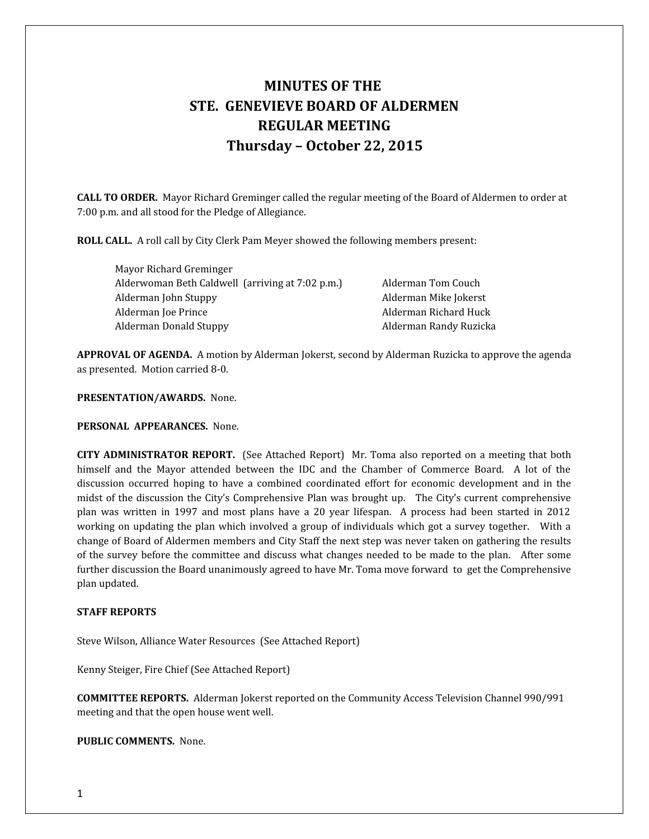# **MINUTES OF THE STE. GENEVIEVE BOARD OF ALDERMEN REGULAR MEETING Thursday – October 22, 2015**

**CALL TO ORDER.** Mayor Richard Greminger called the regular meeting of the Board of Aldermen to order at 7:00 p.m. and all stood for the Pledge of Allegiance.

**ROLL CALL.** A roll call by City Clerk Pam Meyer showed the following members present:

Mayor Richard Greminger Alderwoman Beth Caldwell (arriving at 7:02 p.m.) Alderman Tom Couch Alderman John Stuppy **Alderman Mike Jokerst** Alderman Joe Prince **Alderman Richard Huck Alderman Richard Huck** Alderman Donald Stuppy **Alderman Randy Ruzicka** 

**APPROVAL OF AGENDA.** A motion by Alderman Jokerst, second by Alderman Ruzicka to approve the agenda as presented. Motion carried 8-0.

**PRESENTATION/AWARDS.** None.

**PERSONAL APPEARANCES.** None.

**CITY ADMINISTRATOR REPORT.** (See Attached Report) Mr. Toma also reported on a meeting that both himself and the Mayor attended between the IDC and the Chamber of Commerce Board. A lot of the discussion occurred hoping to have a combined coordinated effort for economic development and in the midst of the discussion the City's Comprehensive Plan was brought up. The City's current comprehensive plan was written in 1997 and most plans have a 20 year lifespan. A process had been started in 2012 working on updating the plan which involved a group of individuals which got a survey together. With a change of Board of Aldermen members and City Staff the next step was never taken on gathering the results of the survey before the committee and discuss what changes needed to be made to the plan. After some further discussion the Board unanimously agreed to have Mr. Toma move forward to get the Comprehensive plan updated.

#### **STAFF REPORTS**

Steve Wilson, Alliance Water Resources (See Attached Report)

Kenny Steiger, Fire Chief (See Attached Report)

**COMMITTEE REPORTS.** Alderman Jokerst reported on the Community Access Television Channel 990/991 meeting and that the open house went well.

**PUBLIC COMMENTS.** None.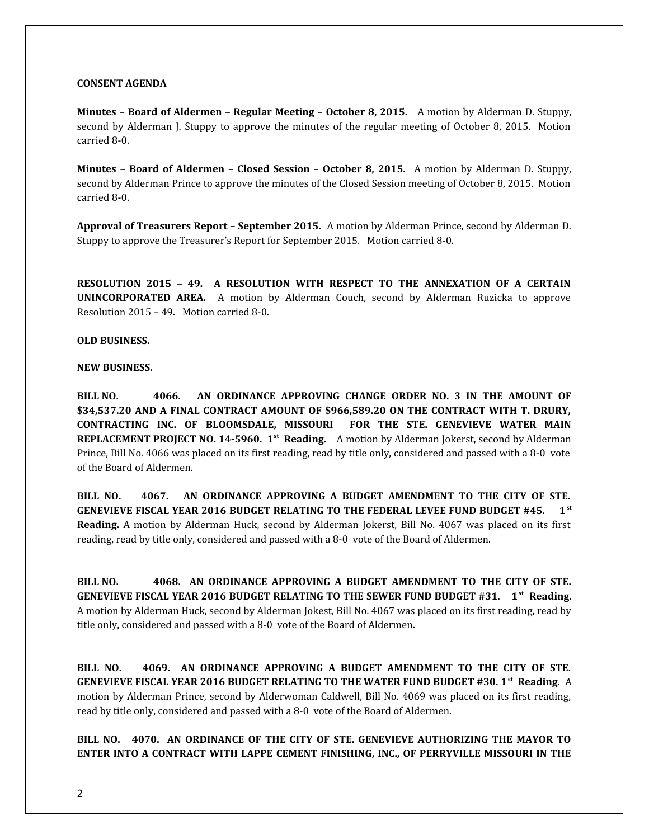## **CONSENT AGENDA**

**Minutes – Board of Aldermen – Regular Meeting – October 8, 2015.** A motion by Alderman D. Stuppy, second by Alderman J. Stuppy to approve the minutes of the regular meeting of October 8, 2015. Motion carried 8-0.

**Minutes – Board of Aldermen – Closed Session – October 8, 2015.** A motion by Alderman D. Stuppy, second by Alderman Prince to approve the minutes of the Closed Session meeting of October 8, 2015. Motion carried 8-0.

**Approval of Treasurers Report – September 2015.** A motion by Alderman Prince, second by Alderman D. Stuppy to approve the Treasurer's Report for September 2015. Motion carried 8-0.

**RESOLUTION 2015 – 49. A RESOLUTION WITH RESPECT TO THE ANNEXATION OF A CERTAIN UNINCORPORATED AREA.** A motion by Alderman Couch, second by Alderman Ruzicka to approve Resolution 2015 – 49. Motion carried 8-0.

## **OLD BUSINESS.**

## **NEW BUSINESS.**

**BILL NO. 4066. AN ORDINANCE APPROVING CHANGE ORDER NO. 3 IN THE AMOUNT OF \$34,537.20 AND A FINAL CONTRACT AMOUNT OF \$966,589.20 ON THE CONTRACT WITH T. DRURY, CONTRACTING INC. OF BLOOMSDALE, MISSOURI FOR THE STE. GENEVIEVE WATER MAIN REPLACEMENT PROJECT NO. 14-5960. 1st Reading.** A motion by Alderman Jokerst, second by Alderman Prince, Bill No. 4066 was placed on its first reading, read by title only, considered and passed with a 8-0 vote of the Board of Aldermen.

**BILL NO. 4067. AN ORDINANCE APPROVING A BUDGET AMENDMENT TO THE CITY OF STE. GENEVIEVE FISCAL YEAR 2016 BUDGET RELATING TO THE FEDERAL LEVEE FUND BUDGET #45. 1st Reading.** A motion by Alderman Huck, second by Alderman Jokerst, Bill No. 4067 was placed on its first reading, read by title only, considered and passed with a 8-0 vote of the Board of Aldermen.

**BILL NO. 4068. AN ORDINANCE APPROVING A BUDGET AMENDMENT TO THE CITY OF STE. GENEVIEVE FISCAL YEAR 2016 BUDGET RELATING TO THE SEWER FUND BUDGET #31. 1st Reading.** A motion by Alderman Huck, second by Alderman Jokest, Bill No. 4067 was placed on its first reading, read by title only, considered and passed with a 8-0 vote of the Board of Aldermen.

**BILL NO. 4069. AN ORDINANCE APPROVING A BUDGET AMENDMENT TO THE CITY OF STE. GENEVIEVE FISCAL YEAR 2016 BUDGET RELATING TO THE WATER FUND BUDGET #30. 1st Reading.** A motion by Alderman Prince, second by Alderwoman Caldwell, Bill No. 4069 was placed on its first reading, read by title only, considered and passed with a 8-0 vote of the Board of Aldermen.

**BILL NO. 4070. AN ORDINANCE OF THE CITY OF STE. GENEVIEVE AUTHORIZING THE MAYOR TO ENTER INTO A CONTRACT WITH LAPPE CEMENT FINISHING, INC., OF PERRYVILLE MISSOURI IN THE**